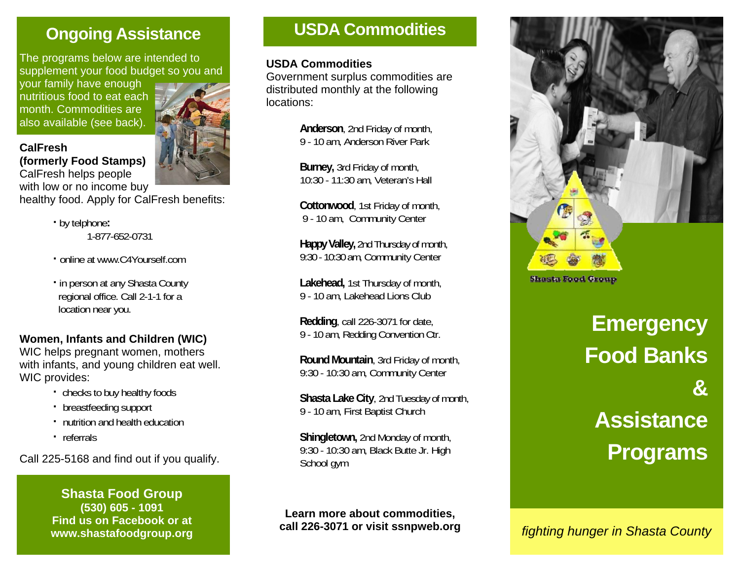# **Ongoing Assistance**

The programs below are intended to supplement your food budget so you and

your family have enough nutritious food to eat each month. Commodities are also available (see back).

**(formerly Food Stamps)** 

**CalFresh** 



CalFresh helps people with low or no income buy

healthy food. Apply for CalFresh benefits:

- **·** by telphone**:**  1-877-652-0731
- **·** online at www.C4Yourself.com
- **·** in person at any Shasta County regional office. Call 2-1-1 for a location near you.

# **Women, Infants and Children (WIC)**

WIC helps pregnant women, mothers with infants, and young children eat well. WIC provides:

- **·** checks to buy healthy foods
- **·** breastfeeding support
- **·** nutrition and health education
- **·** referrals

Call 225-5168 and find out if you qualify.

**Shasta Food Group (530) 605 - 1091 Find us on Facebook or at www.shastafoodgroup.org** 

# **USDA Commodities**

#### **USDA Commodities**

Government surplus commodities are distributed monthly at the following locations:

> **Anderson**, 2nd Friday of month, 9 - 10 am, Anderson River Park

**Burney,** 3rd Friday of month, 10:30 - 11:30 am, Veteran's Hall

 **Cottonwood**, 1st Friday of month, 9 - 10 am, Community Center

 **Happy Valley,** 2nd Thursday of month, 9:30 - 10:30 am, Community Center

 **Lakehead,** 1st Thursday of month, 9 - 10 am, Lakehead Lions Club

 **Redding**, call 226-3071 for date, 9 - 10 am, Redding Convention Ctr.

 **Round Mountain**, 3rd Friday of month, 9:30 - 10:30 am, Community Center

 **Shasta Lake City**, 2nd Tuesday of month, 9 - 10 am, First Baptist Church

 **Shingletown,** 2nd Monday of month, 9:30 - 10:30 am, Black Butte Jr. High School gym

**Learn more about commodities, call 226-3071 or visit ssnpweb.org** 



**Shasta Food Group** 

**Emergency Food Banks & Assistance Programs** 

*fighting hunger in Shasta County*